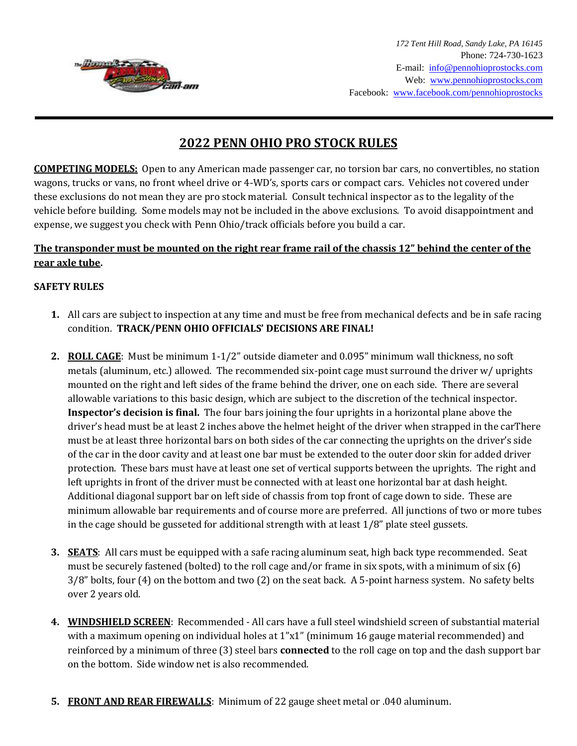

# **2022 PENN OHIO PRO STOCK RULES**

**COMPETING MODELS:** Open to any American made passenger car, no torsion bar cars, no convertibles, no station wagons, trucks or vans, no front wheel drive or 4-WD's, sports cars or compact cars. Vehicles not covered under these exclusions do not mean they are pro stock material. Consult technical inspector as to the legality of the vehicle before building. Some models may not be included in the above exclusions. To avoid disappointment and expense, we suggest you check with Penn Ohio/track officials before you build a car.

## **The transponder must be mounted on the right rear frame rail of the chassis 12" behind the center of the rear axle tube.**

#### **SAFETY RULES**

- **1.** All cars are subject to inspection at any time and must be free from mechanical defects and be in safe racing condition. **TRACK/PENN OHIO OFFICIALS' DECISIONS ARE FINAL!**
- **2. ROLL CAGE**: Must be minimum 1-1/2" outside diameter and 0.095" minimum wall thickness, no soft metals (aluminum, etc.) allowed. The recommended six-point cage must surround the driver w/ uprights mounted on the right and left sides of the frame behind the driver, one on each side. There are several allowable variations to this basic design, which are subject to the discretion of the technical inspector. **Inspector's decision is final.** The four bars joining the four uprights in a horizontal plane above the driver's head must be at least 2 inches above the helmet height of the driver when strapped in the carThere must be at least three horizontal bars on both sides of the car connecting the uprights on the driver's side of the car in the door cavity and at least one bar must be extended to the outer door skin for added driver protection. These bars must have at least one set of vertical supports between the uprights. The right and left uprights in front of the driver must be connected with at least one horizontal bar at dash height. Additional diagonal support bar on left side of chassis from top front of cage down to side. These are minimum allowable bar requirements and of course more are preferred. All junctions of two or more tubes in the cage should be gusseted for additional strength with at least 1/8" plate steel gussets.
- **3. SEATS**: All cars must be equipped with a safe racing aluminum seat, high back type recommended. Seat must be securely fastened (bolted) to the roll cage and/or frame in six spots, with a minimum of six (6) 3/8" bolts, four (4) on the bottom and two (2) on the seat back. A 5-point harness system. No safety belts over 2 years old.
- **4. WINDSHIELD SCREEN**: Recommended All cars have a full steel windshield screen of substantial material with a maximum opening on individual holes at 1"x1" (minimum 16 gauge material recommended) and reinforced by a minimum of three (3) steel bars **connected** to the roll cage on top and the dash support bar on the bottom. Side window net is also recommended.
- **5. FRONT AND REAR FIREWALLS**: Minimum of 22 gauge sheet metal or .040 aluminum.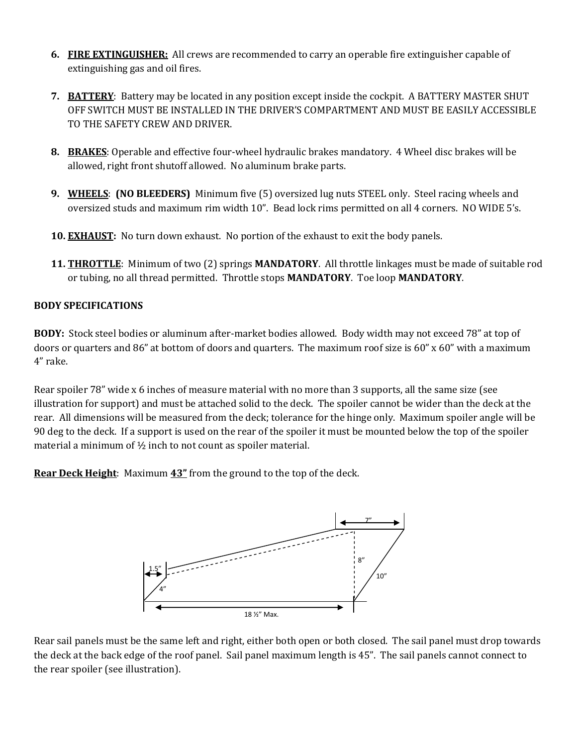- **6. FIRE EXTINGUISHER:** All crews are recommended to carry an operable fire extinguisher capable of extinguishing gas and oil fires.
- **7. BATTERY**: Battery may be located in any position except inside the cockpit. A BATTERY MASTER SHUT OFF SWITCH MUST BE INSTALLED IN THE DRIVER'S COMPARTMENT AND MUST BE EASILY ACCESSIBLE TO THE SAFETY CREW AND DRIVER.
- **8. BRAKES**: Operable and effective four-wheel hydraulic brakes mandatory. 4 Wheel disc brakes will be allowed, right front shutoff allowed. No aluminum brake parts.
- **9. WHEELS**: **(NO BLEEDERS)** Minimum five (5) oversized lug nuts STEEL only. Steel racing wheels and oversized studs and maximum rim width 10". Bead lock rims permitted on all 4 corners. NO WIDE 5's.
- **10. EXHAUST:** No turn down exhaust. No portion of the exhaust to exit the body panels.
- **11. THROTTLE**: Minimum of two (2) springs **MANDATORY**. All throttle linkages must be made of suitable rod or tubing, no all thread permitted. Throttle stops **MANDATORY**. Toe loop **MANDATORY**.

#### **BODY SPECIFICATIONS**

**BODY:** Stock steel bodies or aluminum after-market bodies allowed. Body width may not exceed 78" at top of doors or quarters and 86" at bottom of doors and quarters. The maximum roof size is 60" x 60" with a maximum 4" rake.

Rear spoiler 78" wide x 6 inches of measure material with no more than 3 supports, all the same size (see illustration for support) and must be attached solid to the deck. The spoiler cannot be wider than the deck at the rear. All dimensions will be measured from the deck; tolerance for the hinge only. Maximum spoiler angle will be 90 deg to the deck. If a support is used on the rear of the spoiler it must be mounted below the top of the spoiler material a minimum of ½ inch to not count as spoiler material.

**Rear Deck Height**: Maximum **43"** from the ground to the top of the deck.



Rear sail panels must be the same left and right, either both open or both closed. The sail panel must drop towards the deck at the back edge of the roof panel. Sail panel maximum length is 45". The sail panels cannot connect to the rear spoiler (see illustration).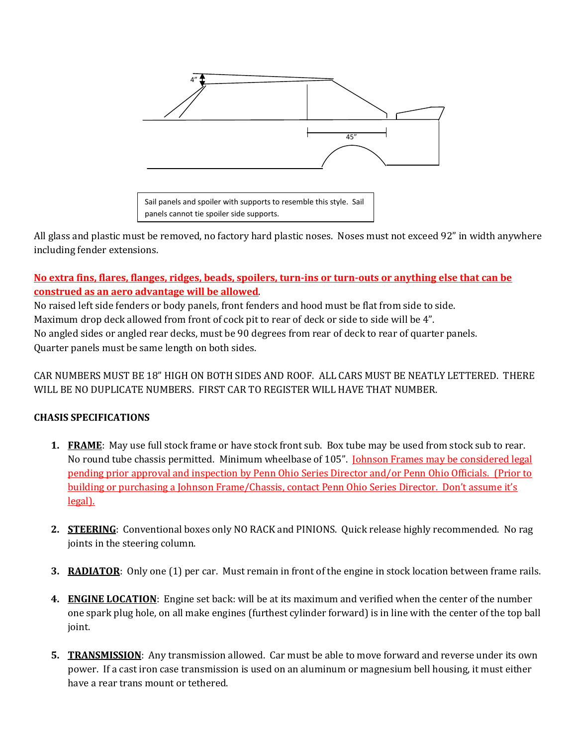

All glass and plastic must be removed, no factory hard plastic noses. Noses must not exceed 92" in width anywhere including fender extensions.

## **No extra fins, flares, flanges, ridges, beads, spoilers, turn-ins or turn-outs or anything else that can be construed as an aero advantage will be allowed**.

No raised left side fenders or body panels, front fenders and hood must be flat from side to side. Maximum drop deck allowed from front of cock pit to rear of deck or side to side will be 4". No angled sides or angled rear decks, must be 90 degrees from rear of deck to rear of quarter panels. Quarter panels must be same length on both sides.

CAR NUMBERS MUST BE 18" HIGH ON BOTH SIDES AND ROOF. ALL CARS MUST BE NEATLY LETTERED. THERE WILL BE NO DUPLICATE NUMBERS. FIRST CAR TO REGISTER WILL HAVE THAT NUMBER.

## **CHASIS SPECIFICATIONS**

- **1. FRAME**: May use full stock frame or have stock front sub. Box tube may be used from stock sub to rear. No round tube chassis permitted. Minimum wheelbase of 105". Johnson Frames may be considered legal pending prior approval and inspection by Penn Ohio Series Director and/or Penn Ohio Officials. (Prior to building or purchasing a Johnson Frame/Chassis, contact Penn Ohio Series Director. Don't assume it's legal).
- **2. STEERING**: Conventional boxes only NO RACK and PINIONS. Quick release highly recommended. No rag joints in the steering column.
- **3. RADIATOR**: Only one (1) per car. Must remain in front of the engine in stock location between frame rails.
- **4. ENGINE LOCATION**: Engine set back: will be at its maximum and verified when the center of the number one spark plug hole, on all make engines (furthest cylinder forward) is in line with the center of the top ball joint.
- **5. TRANSMISSION**: Any transmission allowed. Car must be able to move forward and reverse under its own power. If a cast iron case transmission is used on an aluminum or magnesium bell housing, it must either have a rear trans mount or tethered.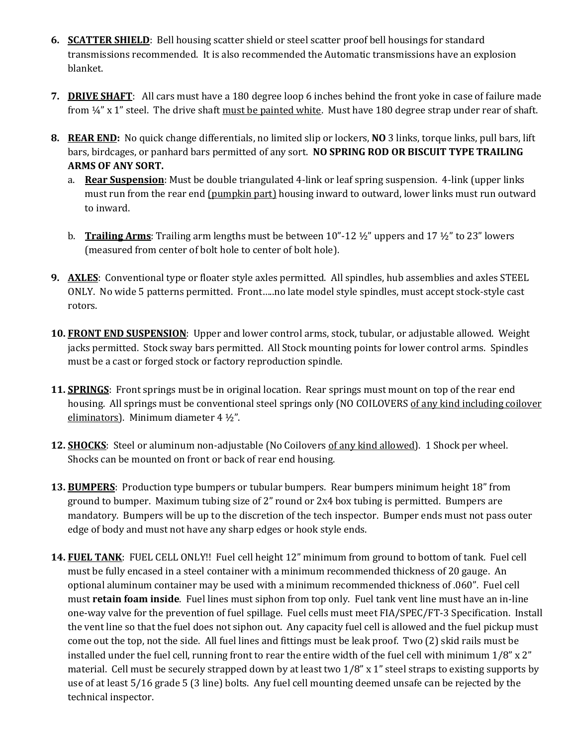- **6. SCATTER SHIELD**: Bell housing scatter shield or steel scatter proof bell housings for standard transmissions recommended. It is also recommended the Automatic transmissions have an explosion blanket.
- **7. DRIVE SHAFT**: All cars must have a 180 degree loop 6 inches behind the front yoke in case of failure made from  $\frac{1}{4}$ " x 1" steel. The drive shaft must be painted white. Must have 180 degree strap under rear of shaft.
- **8. REAR END:** No quick change differentials, no limited slip or lockers, **NO** 3 links, torque links, pull bars, lift bars, birdcages, or panhard bars permitted of any sort. **NO SPRING ROD OR BISCUIT TYPE TRAILING ARMS OF ANY SORT.**
	- a. **Rear Suspension**: Must be double triangulated 4-link or leaf spring suspension. 4-link (upper links must run from the rear end (pumpkin part) housing inward to outward, lower links must run outward to inward.
	- b. **Trailing Arms**: Trailing arm lengths must be between 10"-12 ½" uppers and 17 ½" to 23" lowers (measured from center of bolt hole to center of bolt hole).
- **9. AXLES**: Conventional type or floater style axles permitted. All spindles, hub assemblies and axles STEEL ONLY. No wide 5 patterns permitted. Front…..no late model style spindles, must accept stock-style cast rotors.
- **10. FRONT END SUSPENSION**: Upper and lower control arms, stock, tubular, or adjustable allowed. Weight jacks permitted. Stock sway bars permitted. All Stock mounting points for lower control arms. Spindles must be a cast or forged stock or factory reproduction spindle.
- **11. SPRINGS**: Front springs must be in original location. Rear springs must mount on top of the rear end housing. All springs must be conventional steel springs only (NO COILOVERS of any kind including coilover eliminators). Minimum diameter 4 ½".
- **12. SHOCKS**: Steel or aluminum non-adjustable (No Coilovers of any kind allowed). 1 Shock per wheel. Shocks can be mounted on front or back of rear end housing.
- **13. BUMPERS**: Production type bumpers or tubular bumpers. Rear bumpers minimum height 18" from ground to bumper. Maximum tubing size of 2" round or 2x4 box tubing is permitted. Bumpers are mandatory. Bumpers will be up to the discretion of the tech inspector. Bumper ends must not pass outer edge of body and must not have any sharp edges or hook style ends.
- **14. FUEL TANK**: FUEL CELL ONLY!! Fuel cell height 12" minimum from ground to bottom of tank. Fuel cell must be fully encased in a steel container with a minimum recommended thickness of 20 gauge. An optional aluminum container may be used with a minimum recommended thickness of .060". Fuel cell must **retain foam inside**. Fuel lines must siphon from top only. Fuel tank vent line must have an in-line one-way valve for the prevention of fuel spillage. Fuel cells must meet FIA/SPEC/FT-3 Specification. Install the vent line so that the fuel does not siphon out. Any capacity fuel cell is allowed and the fuel pickup must come out the top, not the side. All fuel lines and fittings must be leak proof. Two (2) skid rails must be installed under the fuel cell, running front to rear the entire width of the fuel cell with minimum  $1/8$ " x  $2$ " material. Cell must be securely strapped down by at least two 1/8" x 1" steel straps to existing supports by use of at least 5/16 grade 5 (3 line) bolts. Any fuel cell mounting deemed unsafe can be rejected by the technical inspector.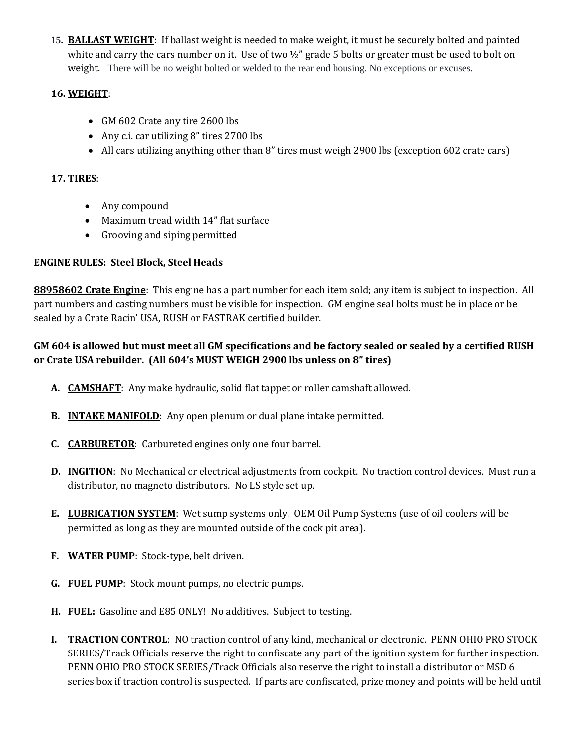**15. BALLAST WEIGHT**: If ballast weight is needed to make weight, it must be securely bolted and painted white and carry the cars number on it. Use of two  $\frac{1}{2}$ " grade 5 bolts or greater must be used to bolt on weight. There will be no weight bolted or welded to the rear end housing. No exceptions or excuses.

## **16. WEIGHT**:

- GM 602 Crate any tire 2600 lbs
- Any c.i. car utilizing 8" tires 2700 lbs
- All cars utilizing anything other than 8" tires must weigh 2900 lbs (exception 602 crate cars)

#### **17. TIRES**:

- Any compound
- Maximum tread width 14" flat surface
- Grooving and siping permitted

#### **ENGINE RULES: Steel Block, Steel Heads**

**88958602 Crate Engine**: This engine has a part number for each item sold; any item is subject to inspection. All part numbers and casting numbers must be visible for inspection. GM engine seal bolts must be in place or be sealed by a Crate Racin' USA, RUSH or FASTRAK certified builder.

## **GM 604 is allowed but must meet all GM specifications and be factory sealed or sealed by a certified RUSH or Crate USA rebuilder. (All 604's MUST WEIGH 2900 lbs unless on 8" tires)**

- **A. CAMSHAFT**: Any make hydraulic, solid flat tappet or roller camshaft allowed.
- **B. INTAKE MANIFOLD**: Any open plenum or dual plane intake permitted.
- **C. CARBURETOR**: Carbureted engines only one four barrel.
- **D. INGITION**: No Mechanical or electrical adjustments from cockpit. No traction control devices. Must run a distributor, no magneto distributors. No LS style set up.
- **E. LUBRICATION SYSTEM**: Wet sump systems only. OEM Oil Pump Systems (use of oil coolers will be permitted as long as they are mounted outside of the cock pit area).
- **F. WATER PUMP**: Stock-type, belt driven.
- **G. FUEL PUMP**: Stock mount pumps, no electric pumps.
- **H. FUEL:** Gasoline and E85 ONLY! No additives. Subject to testing.
- **I. TRACTION CONTROL**: NO traction control of any kind, mechanical or electronic. PENN OHIO PRO STOCK SERIES/Track Officials reserve the right to confiscate any part of the ignition system for further inspection. PENN OHIO PRO STOCK SERIES/Track Officials also reserve the right to install a distributor or MSD 6 series box if traction control is suspected. If parts are confiscated, prize money and points will be held until